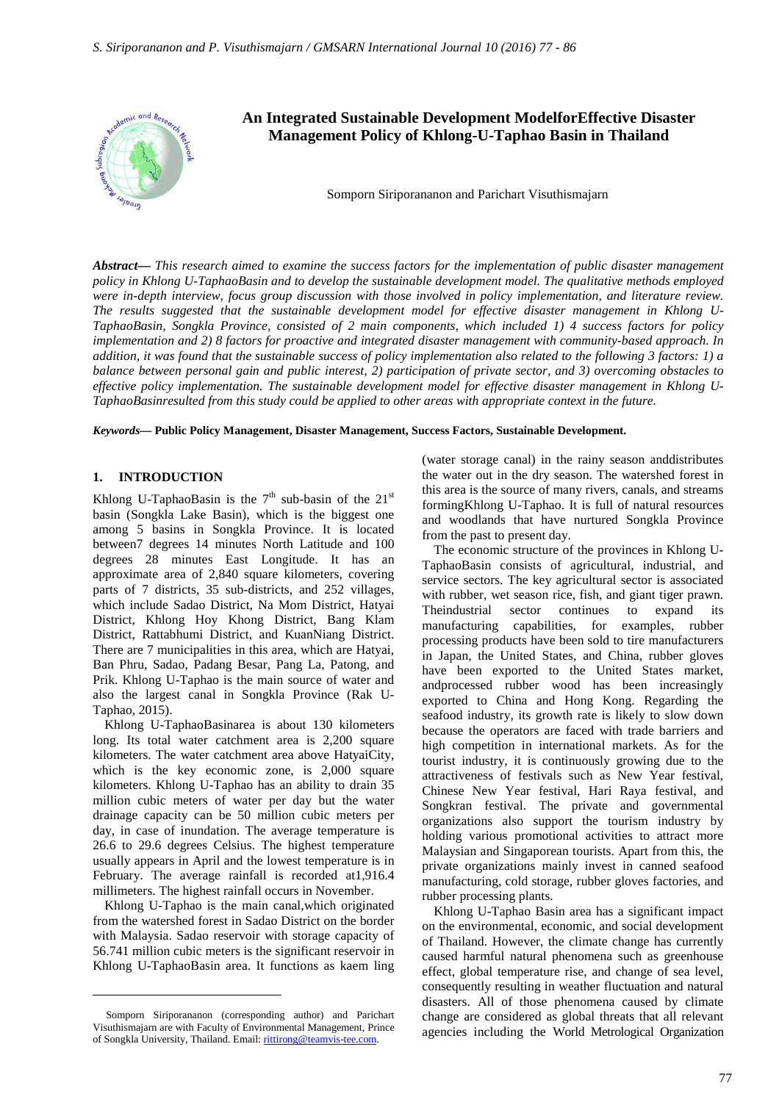

*Abstract***—** *This research aimed to examine the success factors for the implementation of public disaster management policy in Khlong U-TaphaoBasin and to develop the sustainable development model. The qualitative methods employed were in-depth interview, focus group discussion with those involved in policy implementation, and literature review. The results suggested that the sustainable development model for effective disaster management in Khlong U-TaphaoBasin, Songkla Province, consisted of 2 main components, which included 1) 4 success factors for policy implementation and 2) 8 factors for proactive and integrated disaster management with community-based approach. In addition, it was found that the sustainable success of policy implementation also related to the following 3 factors: 1) a balance between personal gain and public interest, 2) participation of private sector, and 3) overcoming obstacles to effective policy implementation. The sustainable development model for effective disaster management in Khlong U-TaphaoBasinresulted from this study could be applied to other areas with appropriate context in the future.*

*Keywords***— Public Policy Management, Disaster Management, Success Factors, Sustainable Development.**

#### **1. INTRODUCTION**

Khlong U-TaphaoBasin is the  $7<sup>th</sup>$  sub-basin of the 21<sup>st</sup> basin (Songkla Lake Basin), which is the biggest one among 5 basins in Songkla Province. It is located between7 degrees 14 minutes North Latitude and 100 degrees 28 minutes East Longitude. It has an approximate area of 2,840 square kilometers, covering parts of 7 districts, 35 sub-districts, and 252 villages, which include Sadao District, Na Mom District, Hatyai District, Khlong Hoy Khong District, Bang Klam District, Rattabhumi District, and KuanNiang District. There are 7 municipalities in this area, which are Hatyai, Ban Phru, Sadao, Padang Besar, Pang La, Patong, and Prik. Khlong U-Taphao is the main source of water and also the largest canal in Songkla Province (Rak U-Taphao, 2015).

Khlong U-TaphaoBasinarea is about 130 kilometers long. Its total water catchment area is 2,200 square kilometers. The water catchment area above HatyaiCity, which is the key economic zone, is 2,000 square kilometers. Khlong U-Taphao has an ability to drain 35 million cubic meters of water per day but the water drainage capacity can be 50 million cubic meters per day, in case of inundation. The average temperature is 26.6 to 29.6 degrees Celsius. The highest temperature usually appears in April and the lowest temperature is in February. The average rainfall is recorded at1,916.4 millimeters. The highest rainfall occurs in November.

Khlong U-Taphao is the main canal,which originated from the watershed forest in Sadao District on the border with Malaysia. Sadao reservoir with storage capacity of 56.741 million cubic meters is the significant reservoir in Khlong U-TaphaoBasin area. It functions as kaem ling

 $\overline{a}$ 

(water storage canal) in the rainy season anddistributes the water out in the dry season. The watershed forest in this area is the source of many rivers, canals, and streams formingKhlong U-Taphao. It is full of natural resources and woodlands that have nurtured Songkla Province from the past to present day.

The economic structure of the provinces in Khlong U-TaphaoBasin consists of agricultural, industrial, and service sectors. The key agricultural sector is associated with rubber, wet season rice, fish, and giant tiger prawn. Theindustrial sector continues to expand its manufacturing capabilities, for examples, rubber processing products have been sold to tire manufacturers in Japan, the United States, and China, rubber gloves have been exported to the United States market, andprocessed rubber wood has been increasingly exported to China and Hong Kong. Regarding the seafood industry, its growth rate is likely to slow down because the operators are faced with trade barriers and high competition in international markets. As for the tourist industry, it is continuously growing due to the attractiveness of festivals such as New Year festival, Chinese New Year festival, Hari Raya festival, and Songkran festival. The private and governmental organizations also support the tourism industry by holding various promotional activities to attract more Malaysian and Singaporean tourists. Apart from this, the private organizations mainly invest in canned seafood manufacturing, cold storage, rubber gloves factories, and rubber processing plants.

Khlong U-Taphao Basin area has a significant impact on the environmental, economic, and social development of Thailand. However, the climate change has currently caused harmful natural phenomena such as greenhouse effect, global temperature rise, and change of sea level, consequently resulting in weather fluctuation and natural disasters. All of those phenomena caused by climate change are considered as global threats that all relevant agencies including the World Metrological Organization

Somporn Siriporananon (corresponding author) and Parichart Visuthismajarn are with Faculty of Environmental Management, Prince of Songkla University, Thailand. Email: rittirong@teamvis-tee.com.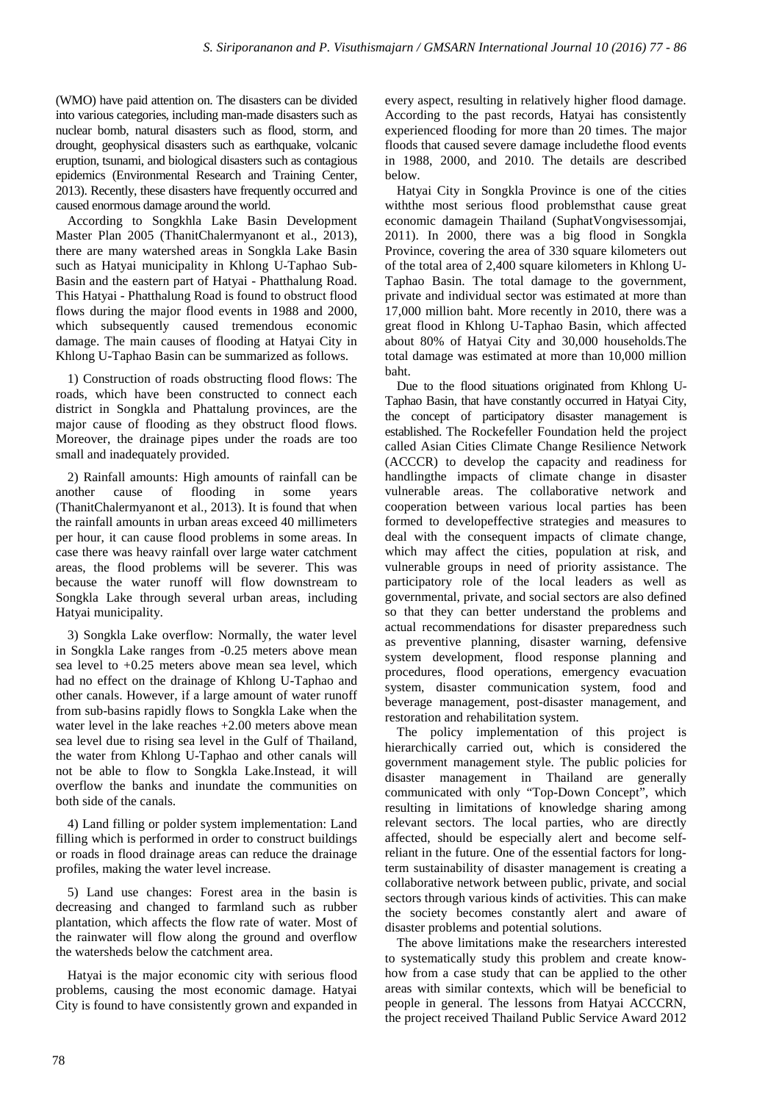(WMO) have paid attention on. The disasters can be divided into various categories, including man-made disasters such as nuclear bomb, natural disasters such as flood, storm, and drought, geophysical disasters such as earthquake, volcanic eruption, tsunami, and biological disasters such as contagious epidemics (Environmental Research and Training Center, 2013). Recently, these disasters have frequently occurred and caused enormous damage around the world.

According to Songkhla Lake Basin Development Master Plan 2005 (ThanitChalermyanont et al., 2013), there are many watershed areas in Songkla Lake Basin such as Hatyai municipality in Khlong U-Taphao Sub-Basin and the eastern part of Hatyai - Phatthalung Road. This Hatyai - Phatthalung Road is found to obstruct flood flows during the major flood events in 1988 and 2000, which subsequently caused tremendous economic damage. The main causes of flooding at Hatyai City in Khlong U-Taphao Basin can be summarized as follows.

1) Construction of roads obstructing flood flows: The roads, which have been constructed to connect each district in Songkla and Phattalung provinces, are the major cause of flooding as they obstruct flood flows. Moreover, the drainage pipes under the roads are too small and inadequately provided.

2) Rainfall amounts: High amounts of rainfall can be another cause of flooding in some years (ThanitChalermyanont et al., 2013). It is found that when the rainfall amounts in urban areas exceed 40 millimeters per hour, it can cause flood problems in some areas. In case there was heavy rainfall over large water catchment areas, the flood problems will be severer. This was because the water runoff will flow downstream to Songkla Lake through several urban areas, including Hatyai municipality.

3) Songkla Lake overflow: Normally, the water level in Songkla Lake ranges from -0.25 meters above mean sea level to +0.25 meters above mean sea level, which had no effect on the drainage of Khlong U-Taphao and other canals. However, if a large amount of water runoff from sub-basins rapidly flows to Songkla Lake when the water level in the lake reaches +2.00 meters above mean sea level due to rising sea level in the Gulf of Thailand, the water from Khlong U-Taphao and other canals will not be able to flow to Songkla Lake.Instead, it will overflow the banks and inundate the communities on both side of the canals.

4) Land filling or polder system implementation: Land filling which is performed in order to construct buildings or roads in flood drainage areas can reduce the drainage profiles, making the water level increase.

5) Land use changes: Forest area in the basin is decreasing and changed to farmland such as rubber plantation, which affects the flow rate of water. Most of the rainwater will flow along the ground and overflow the watersheds below the catchment area.

Hatyai is the major economic city with serious flood problems, causing the most economic damage. Hatyai City is found to have consistently grown and expanded in

every aspect, resulting in relatively higher flood damage. According to the past records, Hatyai has consistently experienced flooding for more than 20 times. The major floods that caused severe damage includethe flood events in 1988, 2000, and 2010. The details are described below.

Hatyai City in Songkla Province is one of the cities withthe most serious flood problemsthat cause great economic damagein Thailand (SuphatVongvisessomjai, 2011). In 2000, there was a big flood in Songkla Province, covering the area of 330 square kilometers out of the total area of 2,400 square kilometers in Khlong U-Taphao Basin. The total damage to the government, private and individual sector was estimated at more than 17,000 million baht. More recently in 2010, there was a great flood in Khlong U-Taphao Basin, which affected about 80% of Hatyai City and 30,000 households.The total damage was estimated at more than 10,000 million baht.

Due to the flood situations originated from Khlong U-Taphao Basin, that have constantly occurred in Hatyai City, the concept of participatory disaster management is established. The Rockefeller Foundation held the project called Asian Cities Climate Change Resilience Network (ACCCR) to develop the capacity and readiness for handlingthe impacts of climate change in disaster vulnerable areas. The collaborative network and cooperation between various local parties has been formed to developeffective strategies and measures to deal with the consequent impacts of climate change, which may affect the cities, population at risk, and vulnerable groups in need of priority assistance. The participatory role of the local leaders as well as governmental, private, and social sectors are also defined so that they can better understand the problems and actual recommendations for disaster preparedness such as preventive planning, disaster warning, defensive system development, flood response planning and procedures, flood operations, emergency evacuation system, disaster communication system, food and beverage management, post-disaster management, and restoration and rehabilitation system.

The policy implementation of this project is hierarchically carried out, which is considered the government management style. The public policies for disaster management in Thailand are generally communicated with only "Top-Down Concept", which resulting in limitations of knowledge sharing among relevant sectors. The local parties, who are directly affected, should be especially alert and become selfreliant in the future. One of the essential factors for longterm sustainability of disaster management is creating a collaborative network between public, private, and social sectors through various kinds of activities. This can make the society becomes constantly alert and aware of disaster problems and potential solutions.

The above limitations make the researchers interested to systematically study this problem and create knowhow from a case study that can be applied to the other areas with similar contexts, which will be beneficial to people in general. The lessons from Hatyai ACCCRN, the project received Thailand Public Service Award 2012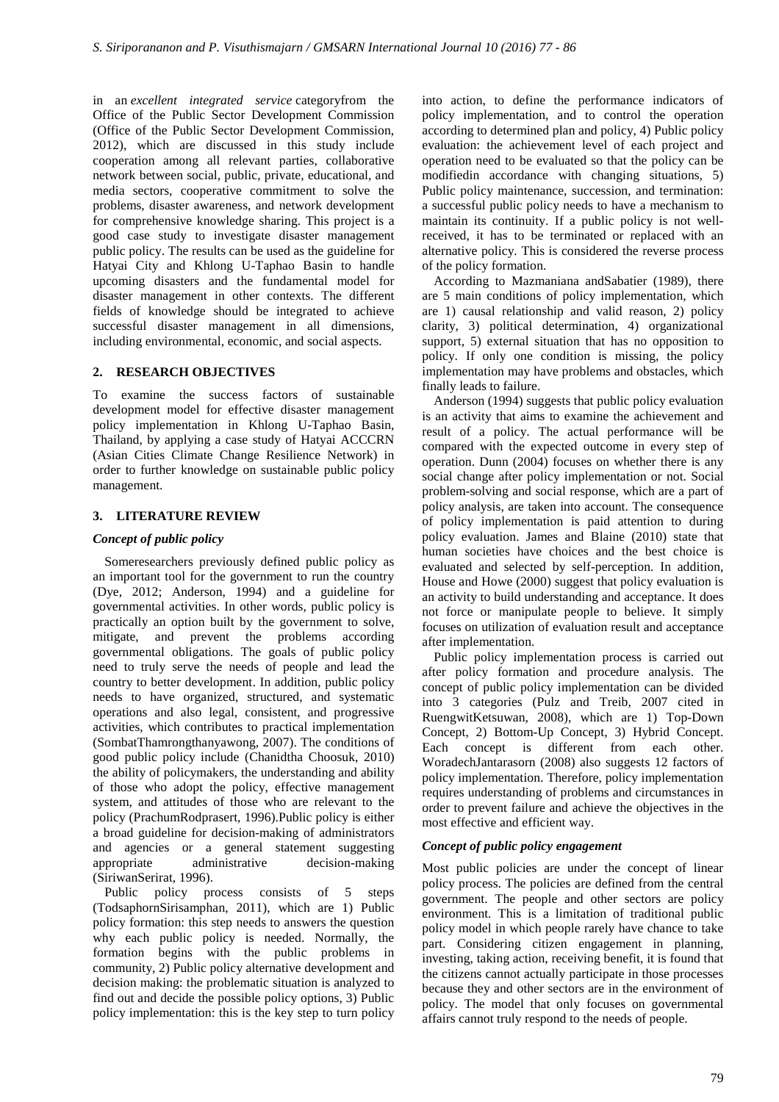in an *excellent integrated service* categoryfrom the Office of the Public Sector Development Commission (Office of the Public Sector Development Commission, 2012), which are discussed in this study include cooperation among all relevant parties, collaborative network between social, public, private, educational, and media sectors, cooperative commitment to solve the problems, disaster awareness, and network development for comprehensive knowledge sharing. This project is a good case study to investigate disaster management public policy. The results can be used as the guideline for Hatyai City and Khlong U-Taphao Basin to handle upcoming disasters and the fundamental model for disaster management in other contexts. The different fields of knowledge should be integrated to achieve successful disaster management in all dimensions, including environmental, economic, and social aspects.

# **2. RESEARCH OBJECTIVES**

To examine the success factors of sustainable development model for effective disaster management policy implementation in Khlong U-Taphao Basin, Thailand, by applying a case study of Hatyai ACCCRN (Asian Cities Climate Change Resilience Network) in order to further knowledge on sustainable public policy management.

# **3. LITERATURE REVIEW**

## *Concept of public policy*

Someresearchers previously defined public policy as an important tool for the government to run the country (Dye, 2012; Anderson, 1994) and a guideline for governmental activities. In other words, public policy is practically an option built by the government to solve, mitigate, and prevent the problems according governmental obligations. The goals of public policy need to truly serve the needs of people and lead the country to better development. In addition, public policy needs to have organized, structured, and systematic operations and also legal, consistent, and progressive activities, which contributes to practical implementation (SombatThamrongthanyawong, 2007). The conditions of good public policy include (Chanidtha Choosuk, 2010) the ability of policymakers, the understanding and ability of those who adopt the policy, effective management system, and attitudes of those who are relevant to the policy (PrachumRodprasert, 1996).Public policy is either a broad guideline for decision-making of administrators and agencies or a general statement suggesting appropriate administrative decision-making (SiriwanSerirat, 1996).

Public policy process consists of 5 steps (TodsaphornSirisamphan, 2011), which are 1) Public policy formation: this step needs to answers the question why each public policy is needed. Normally, the formation begins with the public problems in community, 2) Public policy alternative development and decision making: the problematic situation is analyzed to find out and decide the possible policy options, 3) Public policy implementation: this is the key step to turn policy

into action, to define the performance indicators of policy implementation, and to control the operation according to determined plan and policy, 4) Public policy evaluation: the achievement level of each project and operation need to be evaluated so that the policy can be modifiedin accordance with changing situations, 5) Public policy maintenance, succession, and termination: a successful public policy needs to have a mechanism to maintain its continuity. If a public policy is not wellreceived, it has to be terminated or replaced with an alternative policy. This is considered the reverse process of the policy formation.

According to Mazmaniana andSabatier (1989), there are 5 main conditions of policy implementation, which are 1) causal relationship and valid reason, 2) policy clarity, 3) political determination, 4) organizational support, 5) external situation that has no opposition to policy. If only one condition is missing, the policy implementation may have problems and obstacles, which finally leads to failure.

Anderson (1994) suggests that public policy evaluation is an activity that aims to examine the achievement and result of a policy. The actual performance will be compared with the expected outcome in every step of operation. Dunn (2004) focuses on whether there is any social change after policy implementation or not. Social problem-solving and social response, which are a part of policy analysis, are taken into account. The consequence of policy implementation is paid attention to during policy evaluation. James and Blaine (2010) state that human societies have choices and the best choice is evaluated and selected by self-perception. In addition, House and Howe (2000) suggest that policy evaluation is an activity to build understanding and acceptance. It does not force or manipulate people to believe. It simply focuses on utilization of evaluation result and acceptance after implementation.

Public policy implementation process is carried out after policy formation and procedure analysis. The concept of public policy implementation can be divided into 3 categories (Pulz and Treib, 2007 cited in RuengwitKetsuwan, 2008), which are 1) Top-Down Concept, 2) Bottom-Up Concept, 3) Hybrid Concept. Each concept is different from each other. WoradechJantarasorn (2008) also suggests 12 factors of policy implementation. Therefore, policy implementation requires understanding of problems and circumstances in order to prevent failure and achieve the objectives in the most effective and efficient way.

## *Concept of public policy engagement*

Most public policies are under the concept of linear policy process. The policies are defined from the central government. The people and other sectors are policy environment. This is a limitation of traditional public policy model in which people rarely have chance to take part. Considering citizen engagement in planning, investing, taking action, receiving benefit, it is found that the citizens cannot actually participate in those processes because they and other sectors are in the environment of policy. The model that only focuses on governmental affairs cannot truly respond to the needs of people.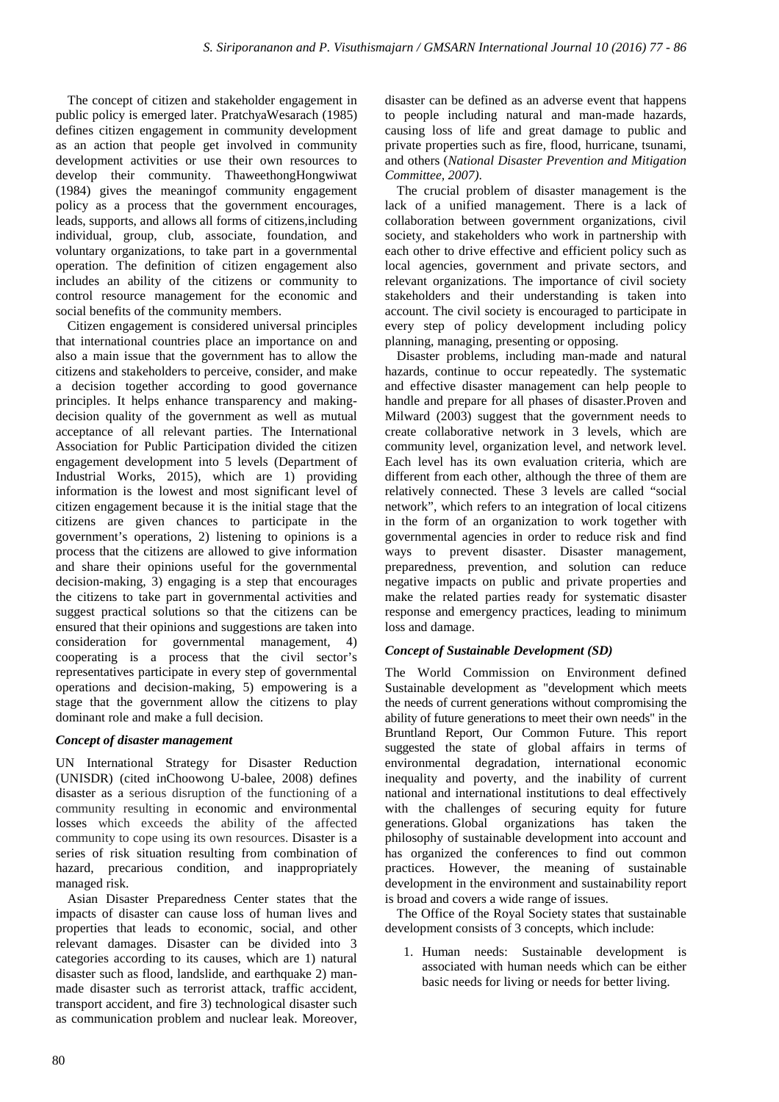The concept of citizen and stakeholder engagement in public policy is emerged later. PratchyaWesarach (1985) defines citizen engagement in community development as an action that people get involved in community development activities or use their own resources to develop their community. ThaweethongHongwiwat (1984) gives the meaningof community engagement policy as a process that the government encourages, leads, supports, and allows all forms of citizens,including individual, group, club, associate, foundation, and voluntary organizations, to take part in a governmental operation. The definition of citizen engagement also includes an ability of the citizens or community to control resource management for the economic and social benefits of the community members.

Citizen engagement is considered universal principles that international countries place an importance on and also a main issue that the government has to allow the citizens and stakeholders to perceive, consider, and make a decision together according to good governance principles. It helps enhance transparency and makingdecision quality of the government as well as mutual acceptance of all relevant parties. The International Association for Public Participation divided the citizen engagement development into 5 levels (Department of Industrial Works, 2015), which are 1) providing information is the lowest and most significant level of citizen engagement because it is the initial stage that the citizens are given chances to participate in the government's operations, 2) listening to opinions is a process that the citizens are allowed to give information and share their opinions useful for the governmental decision-making, 3) engaging is a step that encourages the citizens to take part in governmental activities and suggest practical solutions so that the citizens can be ensured that their opinions and suggestions are taken into consideration for governmental management, 4) cooperating is a process that the civil sector's representatives participate in every step of governmental operations and decision-making, 5) empowering is a stage that the government allow the citizens to play dominant role and make a full decision.

## *Concept of disaster management*

UN International Strategy for Disaster Reduction (UNISDR) (cited inChoowong U-balee, 2008) defines disaster as a serious disruption of the functioning of a community resulting in economic and environmental losses which exceeds the ability of the affected community to cope using its own resources. Disaster is a series of risk situation resulting from combination of hazard, precarious condition, and inappropriately managed risk.

Asian Disaster Preparedness Center states that the impacts of disaster can cause loss of human lives and properties that leads to economic, social, and other relevant damages. Disaster can be divided into 3 categories according to its causes, which are 1) natural disaster such as flood, landslide, and earthquake 2) manmade disaster such as terrorist attack, traffic accident, transport accident, and fire 3) technological disaster such as communication problem and nuclear leak. Moreover, disaster can be defined as an adverse event that happens to people including natural and man-made hazards, causing loss of life and great damage to public and private properties such as fire, flood, hurricane, tsunami, and others (*National Disaster Prevention and Mitigation Committee, 2007)*.

The crucial problem of disaster management is the lack of a unified management. There is a lack of collaboration between government organizations, civil society, and stakeholders who work in partnership with each other to drive effective and efficient policy such as local agencies, government and private sectors, and relevant organizations. The importance of civil society stakeholders and their understanding is taken into account. The civil society is encouraged to participate in every step of policy development including policy planning, managing, presenting or opposing.

Disaster problems, including man-made and natural hazards, continue to occur repeatedly. The systematic and effective disaster management can help people to handle and prepare for all phases of disaster.Proven and Milward (2003) suggest that the government needs to create collaborative network in 3 levels, which are community level, organization level, and network level. Each level has its own evaluation criteria, which are different from each other, although the three of them are relatively connected. These 3 levels are called "social network", which refers to an integration of local citizens in the form of an organization to work together with governmental agencies in order to reduce risk and find ways to prevent disaster. Disaster management, preparedness, prevention, and solution can reduce negative impacts on public and private properties and make the related parties ready for systematic disaster response and emergency practices, leading to minimum loss and damage.

## *Concept of Sustainable Development (SD)*

The World Commission on Environment defined Sustainable development as "development which meets the needs of current generations without compromising the ability of future generations to meet their own needs" in the Bruntland Report, Our Common Future. This report suggested the state of global affairs in terms of environmental degradation, international economic inequality and poverty, and the inability of current national and international institutions to deal effectively with the challenges of securing equity for future generations. Global organizations has taken the philosophy of sustainable development into account and has organized the conferences to find out common practices. However, the meaning of sustainable development in the environment and sustainability report is broad and covers a wide range of issues.

The Office of the Royal Society states that sustainable development consists of 3 concepts, which include:

1. Human needs: Sustainable development is associated with human needs which can be either basic needs for living or needs for better living.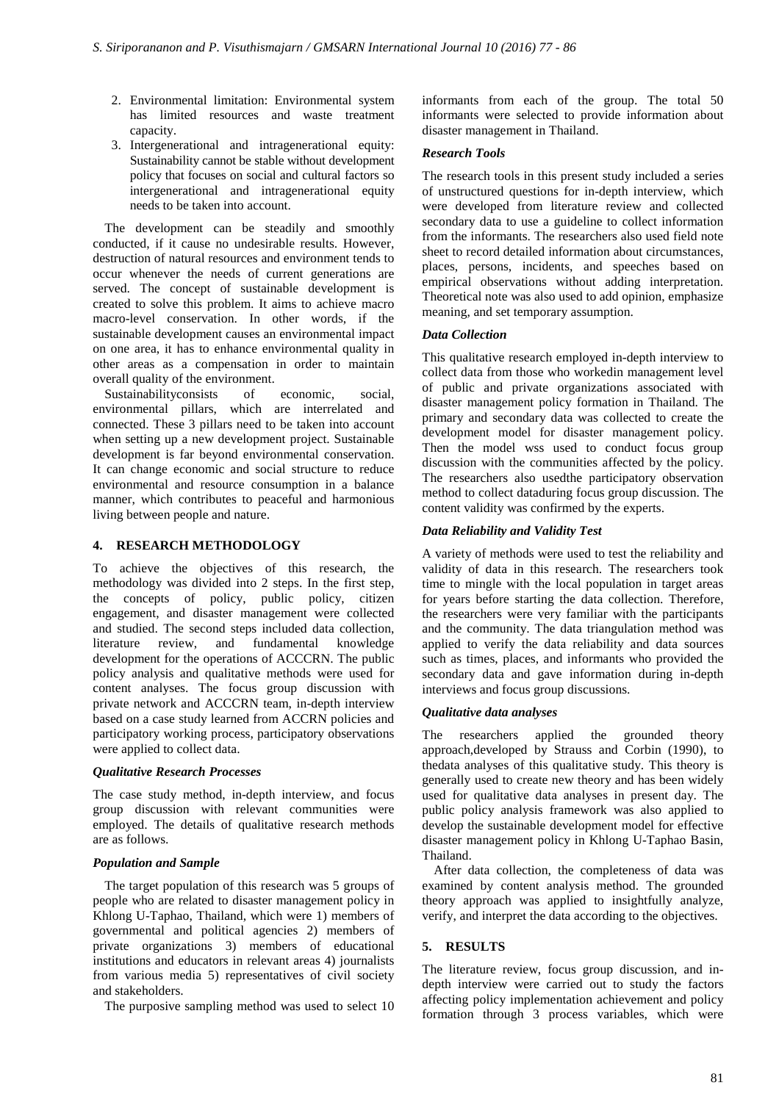- 2. Environmental limitation: Environmental system has limited resources and waste treatment capacity.
- 3. Intergenerational and intragenerational equity: Sustainability cannot be stable without development policy that focuses on social and cultural factors so intergenerational and intragenerational equity needs to be taken into account.

The development can be steadily and smoothly conducted, if it cause no undesirable results. However, destruction of natural resources and environment tends to occur whenever the needs of current generations are served. The concept of sustainable development is created to solve this problem. It aims to achieve macro macro-level conservation. In other words, if the sustainable development causes an environmental impact on one area, it has to enhance environmental quality in other areas as a compensation in order to maintain overall quality of the environment.

Sustainabilityconsists of economic, social, environmental pillars, which are interrelated and connected. These 3 pillars need to be taken into account when setting up a new development project. Sustainable development is far beyond environmental conservation. It can change economic and social structure to reduce environmental and resource consumption in a balance manner, which contributes to peaceful and harmonious living between people and nature.

## **4. RESEARCH METHODOLOGY**

To achieve the objectives of this research, the methodology was divided into 2 steps. In the first step, the concepts of policy, public policy, citizen engagement, and disaster management were collected and studied. The second steps included data collection, literature review, and fundamental knowledge development for the operations of ACCCRN. The public policy analysis and qualitative methods were used for content analyses. The focus group discussion with private network and ACCCRN team, in-depth interview based on a case study learned from ACCRN policies and participatory working process, participatory observations were applied to collect data.

## *Qualitative Research Processes*

The case study method, in-depth interview, and focus group discussion with relevant communities were employed. The details of qualitative research methods are as follows.

## *Population and Sample*

The target population of this research was 5 groups of people who are related to disaster management policy in Khlong U-Taphao, Thailand, which were 1) members of governmental and political agencies 2) members of private organizations 3) members of educational institutions and educators in relevant areas 4) journalists from various media 5) representatives of civil society and stakeholders.

The purposive sampling method was used to select 10

informants from each of the group. The total 50 informants were selected to provide information about disaster management in Thailand.

## *Research Tools*

The research tools in this present study included a series of unstructured questions for in-depth interview, which were developed from literature review and collected secondary data to use a guideline to collect information from the informants. The researchers also used field note sheet to record detailed information about circumstances, places, persons, incidents, and speeches based on empirical observations without adding interpretation. Theoretical note was also used to add opinion, emphasize meaning, and set temporary assumption.

## *Data Collection*

This qualitative research employed in-depth interview to collect data from those who workedin management level of public and private organizations associated with disaster management policy formation in Thailand. The primary and secondary data was collected to create the development model for disaster management policy. Then the model wss used to conduct focus group discussion with the communities affected by the policy. The researchers also usedthe participatory observation method to collect dataduring focus group discussion. The content validity was confirmed by the experts.

# *Data Reliability and Validity Test*

A variety of methods were used to test the reliability and validity of data in this research. The researchers took time to mingle with the local population in target areas for years before starting the data collection. Therefore, the researchers were very familiar with the participants and the community. The data triangulation method was applied to verify the data reliability and data sources such as times, places, and informants who provided the secondary data and gave information during in-depth interviews and focus group discussions.

## *Qualitative data analyses*

The researchers applied the grounded theory approach,developed by Strauss and Corbin (1990), to thedata analyses of this qualitative study. This theory is generally used to create new theory and has been widely used for qualitative data analyses in present day. The public policy analysis framework was also applied to develop the sustainable development model for effective disaster management policy in Khlong U-Taphao Basin, Thailand.

After data collection, the completeness of data was examined by content analysis method. The grounded theory approach was applied to insightfully analyze, verify, and interpret the data according to the objectives.

## **5. RESULTS**

The literature review, focus group discussion, and indepth interview were carried out to study the factors affecting policy implementation achievement and policy formation through 3 process variables, which were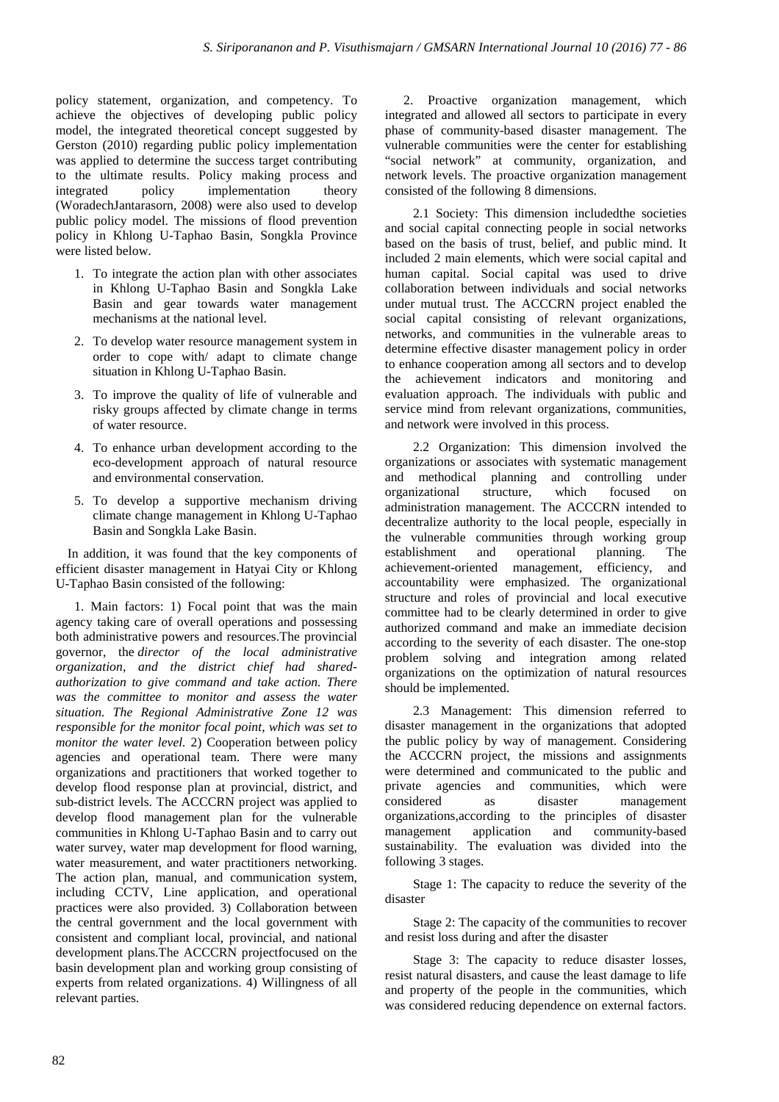policy statement, organization, and competency. To achieve the objectives of developing public policy model, the integrated theoretical concept suggested by Gerston (2010) regarding public policy implementation was applied to determine the success target contributing to the ultimate results. Policy making process and integrated policy implementation theory (WoradechJantarasorn, 2008) were also used to develop public policy model. The missions of flood prevention policy in Khlong U-Taphao Basin, Songkla Province were listed below.

- 1. To integrate the action plan with other associates in Khlong U-Taphao Basin and Songkla Lake Basin and gear towards water management mechanisms at the national level.
- 2. To develop water resource management system in order to cope with/ adapt to climate change situation in Khlong U-Taphao Basin.
- 3. To improve the quality of life of vulnerable and risky groups affected by climate change in terms of water resource.
- 4. To enhance urban development according to the eco-development approach of natural resource and environmental conservation.
- 5. To develop a supportive mechanism driving climate change management in Khlong U-Taphao Basin and Songkla Lake Basin.

In addition, it was found that the key components of efficient disaster management in Hatyai City or Khlong U-Taphao Basin consisted of the following:

1. Main factors: 1) Focal point that was the main agency taking care of overall operations and possessing both administrative powers and resources.The provincial governor, the *director of the local administrative organization, and the district chief had sharedauthorization to give command and take action. There was the committee to monitor and assess the water situation. The Regional Administrative Zone 12 was responsible for the monitor focal point, which was set to monitor the water level.* 2) Cooperation between policy agencies and operational team. There were many organizations and practitioners that worked together to develop flood response plan at provincial, district, and sub-district levels. The ACCCRN project was applied to develop flood management plan for the vulnerable communities in Khlong U-Taphao Basin and to carry out water survey, water map development for flood warning, water measurement, and water practitioners networking. The action plan, manual, and communication system, including CCTV, Line application, and operational practices were also provided. 3) Collaboration between the central government and the local government with consistent and compliant local, provincial, and national development plans.The ACCCRN projectfocused on the basin development plan and working group consisting of experts from related organizations. 4) Willingness of all relevant parties.

2. Proactive organization management, which integrated and allowed all sectors to participate in every phase of community-based disaster management. The vulnerable communities were the center for establishing "social network" at community, organization, and network levels. The proactive organization management consisted of the following 8 dimensions.

2.1 Society: This dimension includedthe societies and social capital connecting people in social networks based on the basis of trust, belief, and public mind. It included 2 main elements, which were social capital and human capital. Social capital was used to drive collaboration between individuals and social networks under mutual trust. The ACCCRN project enabled the social capital consisting of relevant organizations, networks, and communities in the vulnerable areas to determine effective disaster management policy in order to enhance cooperation among all sectors and to develop the achievement indicators and monitoring and evaluation approach. The individuals with public and service mind from relevant organizations, communities, and network were involved in this process.

2.2 Organization: This dimension involved the organizations or associates with systematic management and methodical planning and controlling under organizational structure, which focused on administration management. The ACCCRN intended to decentralize authority to the local people, especially in the vulnerable communities through working group establishment and operational planning. The establishment and operational planning. The achievement-oriented management, efficiency, and accountability were emphasized. The organizational structure and roles of provincial and local executive committee had to be clearly determined in order to give authorized command and make an immediate decision according to the severity of each disaster. The one-stop problem solving and integration among related organizations on the optimization of natural resources should be implemented.

2.3 Management: This dimension referred to disaster management in the organizations that adopted the public policy by way of management. Considering the ACCCRN project, the missions and assignments were determined and communicated to the public and private agencies and communities, which were considered as disaster management organizations,according to the principles of disaster management application and community-based sustainability. The evaluation was divided into the following 3 stages.

Stage 1: The capacity to reduce the severity of the disaster

Stage 2: The capacity of the communities to recover and resist loss during and after the disaster

Stage 3: The capacity to reduce disaster losses, resist natural disasters, and cause the least damage to life and property of the people in the communities, which was considered reducing dependence on external factors.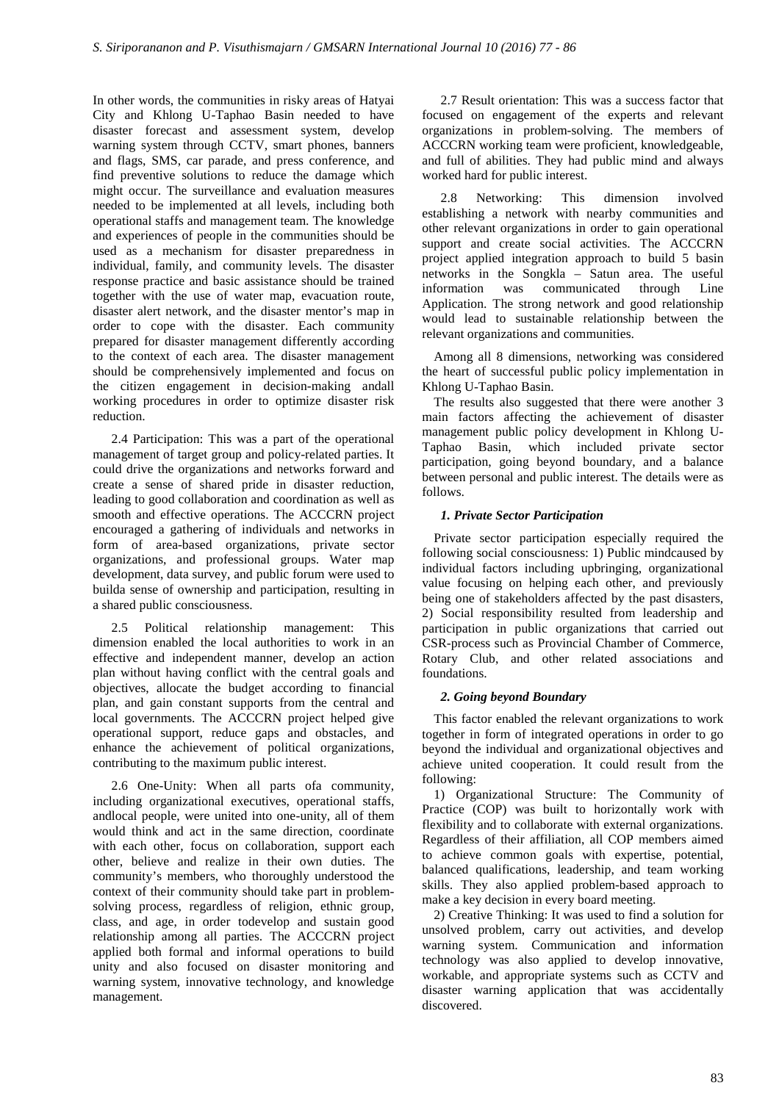In other words, the communities in risky areas of Hatyai City and Khlong U-Taphao Basin needed to have disaster forecast and assessment system, develop warning system through CCTV, smart phones, banners and flags, SMS, car parade, and press conference, and find preventive solutions to reduce the damage which might occur. The surveillance and evaluation measures needed to be implemented at all levels, including both operational staffs and management team. The knowledge and experiences of people in the communities should be used as a mechanism for disaster preparedness in individual, family, and community levels. The disaster response practice and basic assistance should be trained together with the use of water map, evacuation route, disaster alert network, and the disaster mentor's map in order to cope with the disaster. Each community prepared for disaster management differently according to the context of each area. The disaster management should be comprehensively implemented and focus on the citizen engagement in decision-making andall working procedures in order to optimize disaster risk reduction.

2.4 Participation: This was a part of the operational management of target group and policy-related parties. It could drive the organizations and networks forward and create a sense of shared pride in disaster reduction, leading to good collaboration and coordination as well as smooth and effective operations. The ACCCRN project encouraged a gathering of individuals and networks in form of area-based organizations, private sector organizations, and professional groups. Water map development, data survey, and public forum were used to builda sense of ownership and participation, resulting in a shared public consciousness.

2.5 Political relationship management: This dimension enabled the local authorities to work in an effective and independent manner, develop an action plan without having conflict with the central goals and objectives, allocate the budget according to financial plan, and gain constant supports from the central and local governments. The ACCCRN project helped give operational support, reduce gaps and obstacles, and enhance the achievement of political organizations, contributing to the maximum public interest.

2.6 One-Unity: When all parts ofa community, including organizational executives, operational staffs, andlocal people, were united into one-unity, all of them would think and act in the same direction, coordinate with each other, focus on collaboration, support each other, believe and realize in their own duties. The community's members, who thoroughly understood the context of their community should take part in problemsolving process, regardless of religion, ethnic group, class, and age, in order todevelop and sustain good relationship among all parties. The ACCCRN project applied both formal and informal operations to build unity and also focused on disaster monitoring and warning system, innovative technology, and knowledge management.

2.7 Result orientation: This was a success factor that focused on engagement of the experts and relevant organizations in problem-solving. The members of ACCCRN working team were proficient, knowledgeable, and full of abilities. They had public mind and always worked hard for public interest.

2.8 Networking: This dimension involved establishing a network with nearby communities and other relevant organizations in order to gain operational support and create social activities. The ACCCRN project applied integration approach to build 5 basin networks in the Songkla – Satun area. The useful information was communicated through Line Application. The strong network and good relationship would lead to sustainable relationship between the relevant organizations and communities.

Among all 8 dimensions, networking was considered the heart of successful public policy implementation in Khlong U-Taphao Basin.

The results also suggested that there were another 3 main factors affecting the achievement of disaster management public policy development in Khlong U-Taphao Basin, which included private sector participation, going beyond boundary, and a balance between personal and public interest. The details were as follows.

# *1. Private Sector Participation*

Private sector participation especially required the following social consciousness: 1) Public mindcaused by individual factors including upbringing, organizational value focusing on helping each other, and previously being one of stakeholders affected by the past disasters, 2) Social responsibility resulted from leadership and participation in public organizations that carried out CSR-process such as Provincial Chamber of Commerce, Rotary Club, and other related associations and foundations.

## *2. Going beyond Boundary*

This factor enabled the relevant organizations to work together in form of integrated operations in order to go beyond the individual and organizational objectives and achieve united cooperation. It could result from the following:

1) Organizational Structure: The Community of Practice (COP) was built to horizontally work with flexibility and to collaborate with external organizations. Regardless of their affiliation, all COP members aimed to achieve common goals with expertise, potential, balanced qualifications, leadership, and team working skills. They also applied problem-based approach to make a key decision in every board meeting.

2) Creative Thinking: It was used to find a solution for unsolved problem, carry out activities, and develop warning system. Communication and information technology was also applied to develop innovative, workable, and appropriate systems such as CCTV and disaster warning application that was accidentally discovered.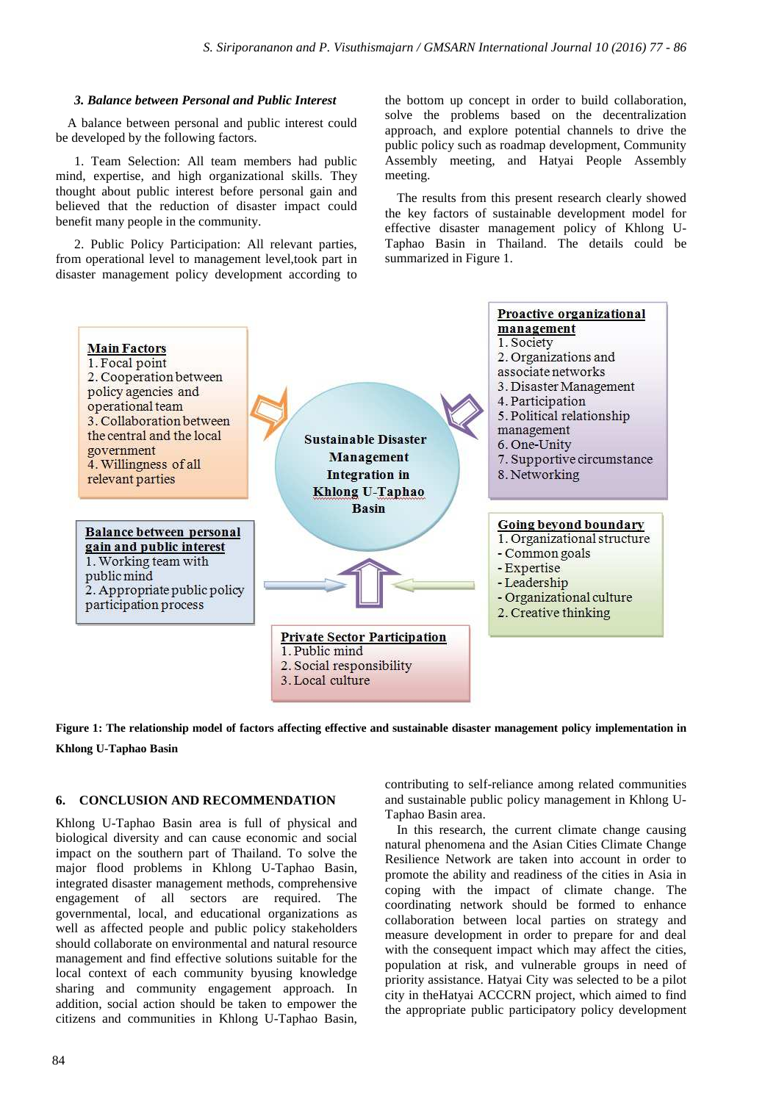#### *3. Balance between Personal and Public Interest*

A balance between personal and public interest could be developed by the following factors.

1. Team Selection: All team members had public mind, expertise, and high organizational skills. They thought about public interest before personal gain and believed that the reduction of disaster impact could benefit many people in the community.

2. Public Policy Participation: All relevant parties, from operational level to management level,took part in disaster management policy development according to the bottom up concept in order to build collaboration, solve the problems based on the decentralization approach, and explore potential channels to drive the public policy such as roadmap development, Community Assembly meeting, and Hatyai People Assembly meeting.

The results from this present research clearly showed the key factors of sustainable development model for effective disaster management policy of Khlong U-Taphao Basin in Thailand. The details could be summarized in Figure 1.





#### **6. CONCLUSION AND RECOMMENDATION**

Khlong U-Taphao Basin area is full of physical and biological diversity and can cause economic and social impact on the southern part of Thailand. To solve the major flood problems in Khlong U-Taphao Basin, integrated disaster management methods, comprehensive engagement of all sectors are required. The governmental, local, and educational organizations as well as affected people and public policy stakeholders should collaborate on environmental and natural resource management and find effective solutions suitable for the local context of each community byusing knowledge sharing and community engagement approach. In addition, social action should be taken to empower the citizens and communities in Khlong U-Taphao Basin,

contributing to self-reliance among related communities and sustainable public policy management in Khlong U-Taphao Basin area.

In this research, the current climate change causing natural phenomena and the Asian Cities Climate Change Resilience Network are taken into account in order to promote the ability and readiness of the cities in Asia in coping with the impact of climate change. The coordinating network should be formed to enhance collaboration between local parties on strategy and measure development in order to prepare for and deal with the consequent impact which may affect the cities, population at risk, and vulnerable groups in need of priority assistance. Hatyai City was selected to be a pilot city in theHatyai ACCCRN project, which aimed to find the appropriate public participatory policy development